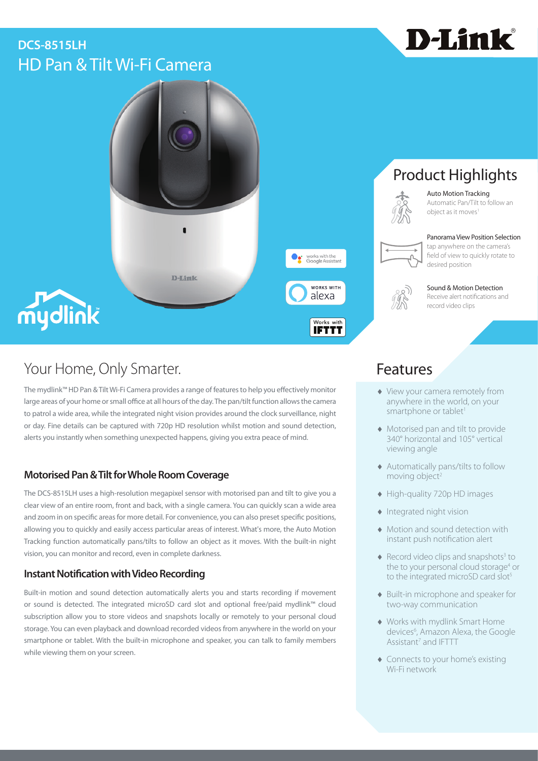# HD Pan & Tilt Wi-Fi Camera **DCS-8515LH**





# Your Home, Only Smarter. The Matter of the Seatures of Teatures

The mydlink™ HD Pan & Tilt Wi-Fi Camera provides a range of features to help you effectively monitor large areas of your home or small office at all hours of the day. The pan/tilt function allows the camera to patrol a wide area, while the integrated night vision provides around the clock surveillance, night or day. Fine details can be captured with 720p HD resolution whilst motion and sound detection, alerts you instantly when something unexpected happens, giving you extra peace of mind.

# **Motorised Pan & Tilt for Whole Room Coverage**

The DCS-8515LH uses a high-resolution megapixel sensor with motorised pan and tilt to give you a clear view of an entire room, front and back, with a single camera. You can quickly scan a wide area and zoom in on specific areas for more detail. For convenience, you can also preset specific positions, allowing you to quickly and easily access particular areas of interest. What's more, the Auto Motion Tracking function automatically pans/tilts to follow an object as it moves. With the built-in night vision, you can monitor and record, even in complete darkness.

# **Instant Notification with Video Recording**

Built-in motion and sound detection automatically alerts you and starts recording if movement or sound is detected. The integrated microSD card slot and optional free/paid mydlink™ cloud subscription allow you to store videos and snapshots locally or remotely to your personal cloud storage. You can even playback and download recorded videos from anywhere in the world on your smartphone or tablet. With the built-in microphone and speaker, you can talk to family members while viewing them on your screen.

# Product Highlights



Auto Motion Tracking Automatic Pan/Tilt to follow an object as it moves1

### Panorama View Position Selection



field of view to quickly rotate to



### Sound & Motion Detection Receive alert notifications and

record video clips

- ♦ View your camera remotely from anywhere in the world, on your smartphone or tablet<sup>1</sup>
- ♦ Motorised pan and tilt to provide 340° horizontal and 105° vertical viewing angle
- ♦ Automatically pans/tilts to follow moving object<sup>2</sup>
- ♦ High-quality 720p HD images
- ♦ Integrated night vision
- ♦ Motion and sound detection with instant push notification alert
- $\blacklozenge$  Record video clips and snapshots<sup>3</sup> to the to your personal cloud storage<sup>4</sup> or to the integrated microSD card slot<sup>5</sup>
- ♦ Built-in microphone and speaker for two-way communication
- ♦ Works with mydlink Smart Home devices<sup>6</sup>, Amazon Alexa, the Google Assistant<sup>7</sup> and IFTTT
- ♦ Connects to your home's existing Wi-Fi network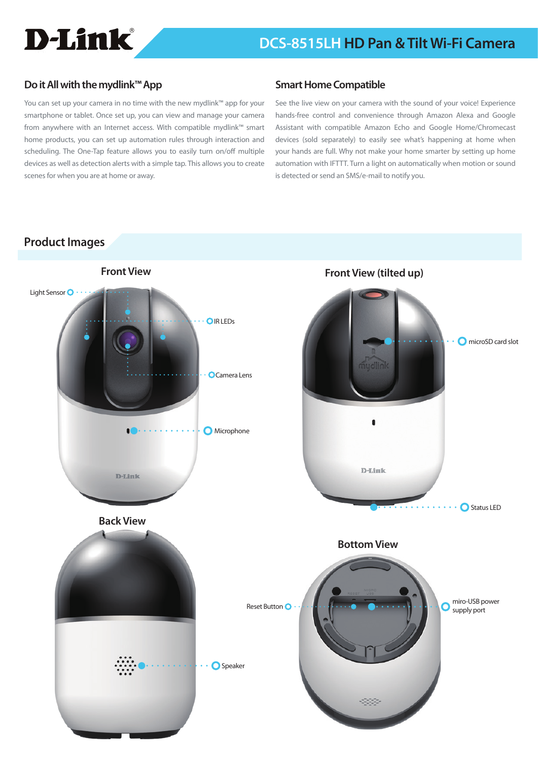

### **Do it All with the mydlink™ App**

You can set up your camera in no time with the new mydlink™ app for your smartphone or tablet. Once set up, you can view and manage your camera from anywhere with an Internet access. With compatible mydlink™ smart home products, you can set up automation rules through interaction and scheduling. The One-Tap feature allows you to easily turn on/off multiple devices as well as detection alerts with a simple tap. This allows you to create scenes for when you are at home or away.

### **Smart Home Compatible**

See the live view on your camera with the sound of your voice! Experience hands-free control and convenience through Amazon Alexa and Google Assistant with compatible Amazon Echo and Google Home/Chromecast devices (sold separately) to easily see what's happening at home when your hands are full. Why not make your home smarter by setting up home automation with IFTTT. Turn a light on automatically when motion or sound is detected or send an SMS/e-mail to notify you.

## **Product Images**

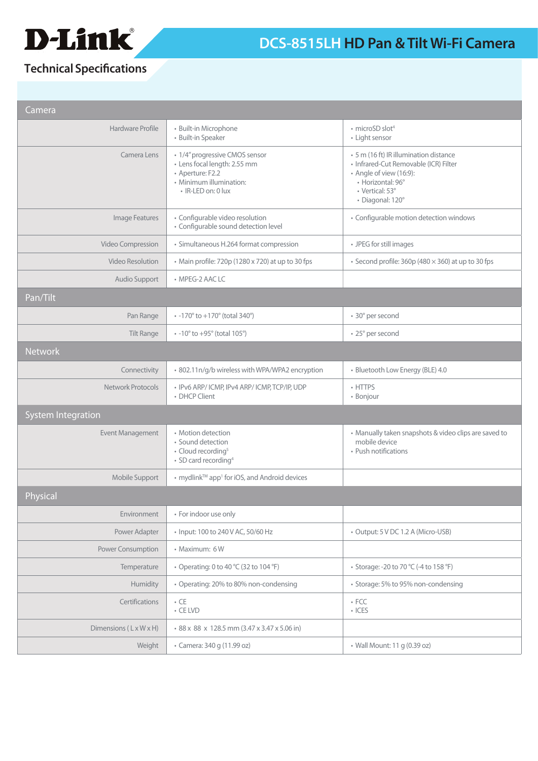

# **Technical Specifications**

| Camera                             |                                                                                                                                     |                                                                                                                                                                        |
|------------------------------------|-------------------------------------------------------------------------------------------------------------------------------------|------------------------------------------------------------------------------------------------------------------------------------------------------------------------|
| Hardware Profile                   | · Built-in Microphone<br>• Built-in Speaker                                                                                         | • microSD slot <sup>4</sup><br>• Light sensor                                                                                                                          |
| Camera Lens                        | • 1/4" progressive CMOS sensor<br>· Lens focal length: 2.55 mm<br>• Aperture: F2.2<br>• Minimum illumination:<br>· IR-LED on: 0 lux | • 5 m (16 ft) IR illumination distance<br>· Infrared-Cut Removable (ICR) Filter<br>• Angle of view (16:9):<br>• Horizontal: 96°<br>• Vertical: 53°<br>· Diagonal: 120° |
| Image Features                     | · Configurable video resolution<br>• Configurable sound detection level                                                             | · Configurable motion detection windows                                                                                                                                |
| Video Compression                  | · Simultaneous H.264 format compression                                                                                             | • JPEG for still images                                                                                                                                                |
| <b>Video Resolution</b>            | • Main profile: 720p (1280 x 720) at up to 30 fps                                                                                   | • Second profile: $360p$ (480 $\times$ 360) at up to 30 fps                                                                                                            |
| Audio Support                      | • MPEG-2 AAC LC                                                                                                                     |                                                                                                                                                                        |
| Pan/Tilt                           |                                                                                                                                     |                                                                                                                                                                        |
| Pan Range                          | $\cdot$ -170 $\degree$ to +170 $\degree$ (total 340 $\degree$ )                                                                     | • 30° per second                                                                                                                                                       |
| <b>Tilt Range</b>                  | $\cdot$ -10 $\degree$ to +95 $\degree$ (total 105 $\degree$ )                                                                       | • 25° per second                                                                                                                                                       |
| <b>Network</b>                     |                                                                                                                                     |                                                                                                                                                                        |
| Connectivity                       | · 802.11n/g/b wireless with WPA/WPA2 encryption                                                                                     | · Bluetooth Low Energy (BLE) 4.0                                                                                                                                       |
| Network Protocols                  | · IPv6 ARP/ICMP, IPv4 ARP/ICMP, TCP/IP, UDP<br>• DHCP Client                                                                        | • HTTPS<br>• Bonjour                                                                                                                                                   |
| <b>System Integration</b>          |                                                                                                                                     |                                                                                                                                                                        |
| Event Management                   | • Motion detection<br>• Sound detection<br>• Cloud recording <sup>5</sup><br>• SD card recording <sup>4</sup>                       | • Manually taken snapshots & video clips are saved to<br>mobile device<br>• Push notifications                                                                         |
| Mobile Support                     | • mydlink <sup>™</sup> app <sup>1</sup> for iOS, and Android devices                                                                |                                                                                                                                                                        |
| Physical                           |                                                                                                                                     |                                                                                                                                                                        |
| Environment                        | • For indoor use only                                                                                                               |                                                                                                                                                                        |
| Power Adapter                      | • Input: 100 to 240 V AC, 50/60 Hz                                                                                                  | • Output: 5 V DC 1.2 A (Micro-USB)                                                                                                                                     |
| Power Consumption                  | • Maximum: 6W                                                                                                                       |                                                                                                                                                                        |
| Temperature                        | • Operating: 0 to 40 °C (32 to 104 °F)                                                                                              | • Storage: -20 to 70 °C (-4 to 158 °F)                                                                                                                                 |
| Humidity                           | • Operating: 20% to 80% non-condensing                                                                                              | • Storage: 5% to 95% non-condensing                                                                                                                                    |
| Certifications                     | $\bullet$ CE<br>$\cdot$ CE LVD                                                                                                      | $\cdot$ FCC<br>$\cdot$ ICES                                                                                                                                            |
| Dimensions $(L \times W \times H)$ | • 88 x 88 x 128.5 mm (3.47 x 3.47 x 5.06 in)                                                                                        |                                                                                                                                                                        |
| Weight                             | • Camera: 340 g (11.99 oz)                                                                                                          | • Wall Mount: 11 g (0.39 oz)                                                                                                                                           |